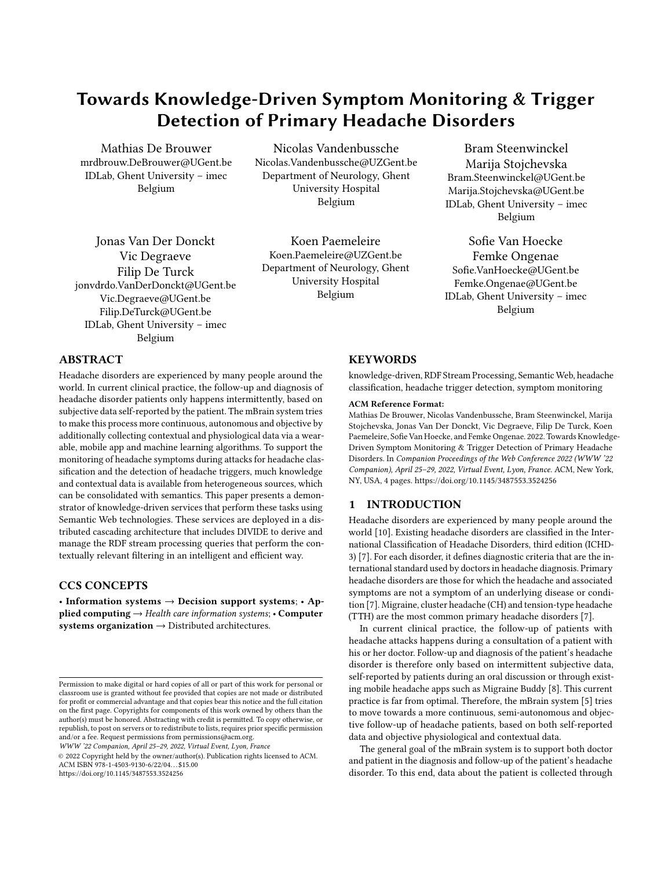# Towards Knowledge-Driven Symptom Monitoring & Trigger Detection of Primary Headache Disorders

Mathias De Brouwer mrdbrouw.DeBrouwer@UGent.be IDLab, Ghent University – imec Belgium

Nicolas Vandenbussche Nicolas.Vandenbussche@UZGent.be Department of Neurology, Ghent University Hospital Belgium

Jonas Van Der Donckt Vic Degraeve Filip De Turck jonvdrdo.VanDerDonckt@UGent.be Vic.Degraeve@UGent.be Filip.DeTurck@UGent.be IDLab, Ghent University – imec Belgium

Koen Paemeleire Koen.Paemeleire@UZGent.be Department of Neurology, Ghent University Hospital Belgium

Bram Steenwinckel Marija Stojchevska Bram.Steenwinckel@UGent.be Marija.Stojchevska@UGent.be IDLab, Ghent University – imec Belgium

Sofie Van Hoecke Femke Ongenae Sofie.VanHoecke@UGent.be Femke.Ongenae@UGent.be IDLab, Ghent University – imec Belgium

# ABSTRACT

Headache disorders are experienced by many people around the world. In current clinical practice, the follow-up and diagnosis of headache disorder patients only happens intermittently, based on subjective data self-reported by the patient. The mBrain system tries to make this process more continuous, autonomous and objective by additionally collecting contextual and physiological data via a wearable, mobile app and machine learning algorithms. To support the monitoring of headache symptoms during attacks for headache classification and the detection of headache triggers, much knowledge and contextual data is available from heterogeneous sources, which can be consolidated with semantics. This paper presents a demonstrator of knowledge-driven services that perform these tasks using Semantic Web technologies. These services are deployed in a distributed cascading architecture that includes DIVIDE to derive and manage the RDF stream processing queries that perform the contextually relevant filtering in an intelligent and efficient way.

# CCS CONCEPTS

• Information systems  $\rightarrow$  Decision support systems; • Applied computing  $\rightarrow$  Health care information systems; • Computer systems organization  $\rightarrow$  Distributed architectures.

WWW '22 Companion, April 25–29, 2022, Virtual Event, Lyon, France

© 2022 Copyright held by the owner/author(s). Publication rights licensed to ACM. ACM ISBN 978-1-4503-9130-6/22/04. . . \$15.00 <https://doi.org/10.1145/3487553.3524256>

# **KEYWORDS**

knowledge-driven, RDF Stream Processing, Semantic Web, headache classification, headache trigger detection, symptom monitoring

#### ACM Reference Format:

Mathias De Brouwer, Nicolas Vandenbussche, Bram Steenwinckel, Marija Stojchevska, Jonas Van Der Donckt, Vic Degraeve, Filip De Turck, Koen Paemeleire, Sofie Van Hoecke, and Femke Ongenae. 2022. Towards Knowledge-Driven Symptom Monitoring & Trigger Detection of Primary Headache Disorders. In Companion Proceedings of the Web Conference 2022 (WWW '22 Companion), April 25–29, 2022, Virtual Event, Lyon, France. ACM, New York, NY, USA, [4](#page-3-0) pages.<https://doi.org/10.1145/3487553.3524256>

# 1 INTRODUCTION

Headache disorders are experienced by many people around the world [\[10\]](#page-3-1). Existing headache disorders are classified in the International Classification of Headache Disorders, third edition (ICHD-3) [\[7\]](#page-3-2). For each disorder, it defines diagnostic criteria that are the international standard used by doctors in headache diagnosis. Primary headache disorders are those for which the headache and associated symptoms are not a symptom of an underlying disease or condition [\[7\]](#page-3-2). Migraine, cluster headache (CH) and tension-type headache (TTH) are the most common primary headache disorders [\[7\]](#page-3-2).

In current clinical practice, the follow-up of patients with headache attacks happens during a consultation of a patient with his or her doctor. Follow-up and diagnosis of the patient's headache disorder is therefore only based on intermittent subjective data, self-reported by patients during an oral discussion or through existing mobile headache apps such as Migraine Buddy [\[8\]](#page-3-3). This current practice is far from optimal. Therefore, the mBrain system [\[5\]](#page-3-4) tries to move towards a more continuous, semi-autonomous and objective follow-up of headache patients, based on both self-reported data and objective physiological and contextual data.

The general goal of the mBrain system is to support both doctor and patient in the diagnosis and follow-up of the patient's headache disorder. To this end, data about the patient is collected through

Permission to make digital or hard copies of all or part of this work for personal or classroom use is granted without fee provided that copies are not made or distributed for profit or commercial advantage and that copies bear this notice and the full citation on the first page. Copyrights for components of this work owned by others than the author(s) must be honored. Abstracting with credit is permitted. To copy otherwise, or republish, to post on servers or to redistribute to lists, requires prior specific permission and/or a fee. Request permissions from permissions@acm.org.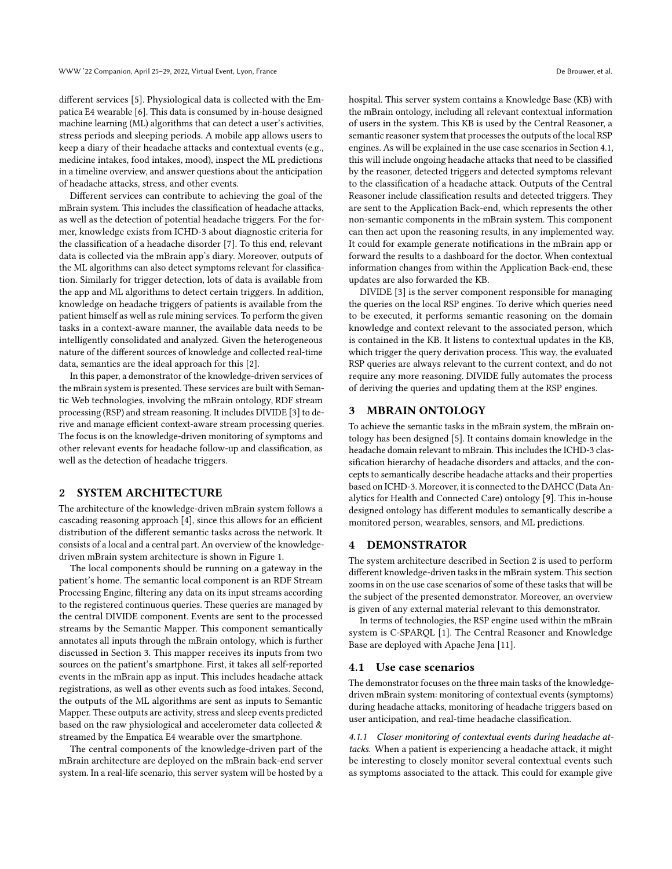different services [\[5\]](#page-3-4). Physiological data is collected with the Empatica E4 wearable [\[6\]](#page-3-5). This data is consumed by in-house designed machine learning (ML) algorithms that can detect a user's activities, stress periods and sleeping periods. A mobile app allows users to keep a diary of their headache attacks and contextual events (e.g., medicine intakes, food intakes, mood), inspect the ML predictions in a timeline overview, and answer questions about the anticipation of headache attacks, stress, and other events.

Different services can contribute to achieving the goal of the mBrain system. This includes the classification of headache attacks, as well as the detection of potential headache triggers. For the former, knowledge exists from ICHD-3 about diagnostic criteria for the classification of a headache disorder [\[7\]](#page-3-2). To this end, relevant data is collected via the mBrain app's diary. Moreover, outputs of the ML algorithms can also detect symptoms relevant for classification. Similarly for trigger detection, lots of data is available from the app and ML algorithms to detect certain triggers. In addition, knowledge on headache triggers of patients is available from the patient himself as well as rule mining services. To perform the given tasks in a context-aware manner, the available data needs to be intelligently consolidated and analyzed. Given the heterogeneous nature of the different sources of knowledge and collected real-time data, semantics are the ideal approach for this [\[2\]](#page-3-6).

In this paper, a demonstrator of the knowledge-driven services of the mBrain system is presented. These services are built with Semantic Web technologies, involving the mBrain ontology, RDF stream processing (RSP) and stream reasoning. It includes DIVIDE [\[3\]](#page-3-7) to derive and manage efficient context-aware stream processing queries. The focus is on the knowledge-driven monitoring of symptoms and other relevant events for headache follow-up and classification, as well as the detection of headache triggers.

# <span id="page-1-2"></span>2 SYSTEM ARCHITECTURE

The architecture of the knowledge-driven mBrain system follows a cascading reasoning approach [\[4\]](#page-3-8), since this allows for an efficient distribution of the different semantic tasks across the network. It consists of a local and a central part. An overview of the knowledgedriven mBrain system architecture is shown in Figure [1.](#page-2-0)

The local components should be running on a gateway in the patient's home. The semantic local component is an RDF Stream Processing Engine, filtering any data on its input streams according to the registered continuous queries. These queries are managed by the central DIVIDE component. Events are sent to the processed streams by the Semantic Mapper. This component semantically annotates all inputs through the mBrain ontology, which is further discussed in Section [3.](#page-1-0) This mapper receives its inputs from two sources on the patient's smartphone. First, it takes all self-reported events in the mBrain app as input. This includes headache attack registrations, as well as other events such as food intakes. Second, the outputs of the ML algorithms are sent as inputs to Semantic Mapper. These outputs are activity, stress and sleep events predicted based on the raw physiological and accelerometer data collected & streamed by the Empatica E4 wearable over the smartphone.

The central components of the knowledge-driven part of the mBrain architecture are deployed on the mBrain back-end server system. In a real-life scenario, this server system will be hosted by a hospital. This server system contains a Knowledge Base (KB) with the mBrain ontology, including all relevant contextual information of users in the system. This KB is used by the Central Reasoner, a semantic reasoner system that processes the outputs of the local RSP engines. As will be explained in the use case scenarios in Section [4.1,](#page-1-1) this will include ongoing headache attacks that need to be classified by the reasoner, detected triggers and detected symptoms relevant to the classification of a headache attack. Outputs of the Central Reasoner include classification results and detected triggers. They are sent to the Application Back-end, which represents the other non-semantic components in the mBrain system. This component can then act upon the reasoning results, in any implemented way. It could for example generate notifications in the mBrain app or forward the results to a dashboard for the doctor. When contextual information changes from within the Application Back-end, these updates are also forwarded the KB.

DIVIDE [\[3\]](#page-3-7) is the server component responsible for managing the queries on the local RSP engines. To derive which queries need to be executed, it performs semantic reasoning on the domain knowledge and context relevant to the associated person, which is contained in the KB. It listens to contextual updates in the KB, which trigger the query derivation process. This way, the evaluated RSP queries are always relevant to the current context, and do not require any more reasoning. DIVIDE fully automates the process of deriving the queries and updating them at the RSP engines.

# <span id="page-1-0"></span>**MBRAIN ONTOLOGY**

To achieve the semantic tasks in the mBrain system, the mBrain ontology has been designed [\[5\]](#page-3-4). It contains domain knowledge in the headache domain relevant to mBrain. This includes the ICHD-3 classification hierarchy of headache disorders and attacks, and the concepts to semantically describe headache attacks and their properties based on ICHD-3. Moreover, it is connected to the DAHCC (Data Analytics for Health and Connected Care) ontology [\[9\]](#page-3-9). This in-house designed ontology has different modules to semantically describe a monitored person, wearables, sensors, and ML predictions.

#### 4 DEMONSTRATOR

The system architecture described in Section [2](#page-1-2) is used to perform different knowledge-driven tasks in the mBrain system. This section zooms in on the use case scenarios of some of these tasks that will be the subject of the presented demonstrator. Moreover, an overview is given of any external material relevant to this demonstrator.

In terms of technologies, the RSP engine used within the mBrain system is C-SPARQL [\[1\]](#page-3-10). The Central Reasoner and Knowledge Base are deployed with Apache Jena [\[11\]](#page-3-11).

#### <span id="page-1-1"></span>4.1 Use case scenarios

The demonstrator focuses on the three main tasks of the knowledgedriven mBrain system: monitoring of contextual events (symptoms) during headache attacks, monitoring of headache triggers based on user anticipation, and real-time headache classification.

<span id="page-1-3"></span>4.1.1 Closer monitoring of contextual events during headache attacks. When a patient is experiencing a headache attack, it might be interesting to closely monitor several contextual events such as symptoms associated to the attack. This could for example give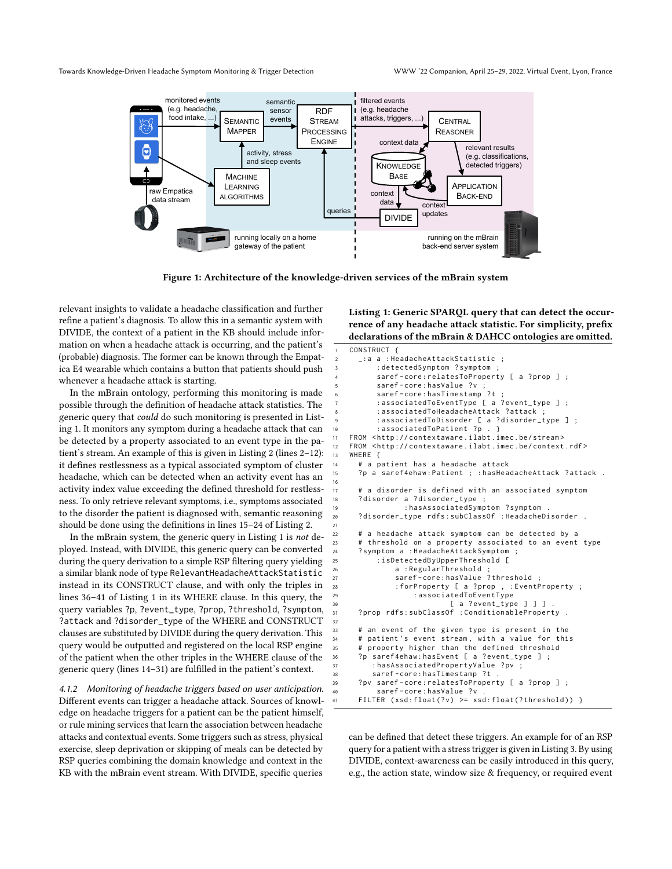<span id="page-2-0"></span>Towards Knowledge-Driven Headache Symptom Monitoring & Trigger Detection WWW '22 Companion, April 25–29, 2022, Virtual Event, Lyon, France



Figure 1: Architecture of the knowledge-driven services of the mBrain system

16

21

32

relevant insights to validate a headache classification and further refine a patient's diagnosis. To allow this in a semantic system with DIVIDE, the context of a patient in the KB should include information on when a headache attack is occurring, and the patient's (probable) diagnosis. The former can be known through the Empatica E4 wearable which contains a button that patients should push whenever a headache attack is starting.

In the mBrain ontology, performing this monitoring is made possible through the definition of headache attack statistics. The generic query that could do such monitoring is presented in Listing [1.](#page-2-1) It monitors any symptom during a headache attack that can be detected by a property associated to an event type in the patient's stream. An example of this is given in Listing [2](#page-3-12) (lines 2–12): it defines restlessness as a typical associated symptom of cluster headache, which can be detected when an activity event has an activity index value exceeding the defined threshold for restlessness. To only retrieve relevant symptoms, i.e., symptoms associated to the disorder the patient is diagnosed with, semantic reasoning should be done using the definitions in lines 15–24 of Listing [2.](#page-3-12)

In the mBrain system, the generic query in Listing [1](#page-2-1) is not deployed. Instead, with DIVIDE, this generic query can be converted during the query derivation to a simple RSP filtering query yielding a similar blank node of type RelevantHeadacheAttackStatistic instead in its CONSTRUCT clause, and with only the triples in lines 36–41 of Listing [1](#page-2-1) in its WHERE clause. In this query, the query variables ?p, ?event\_type, ?prop, ?threshold, ?symptom, ?attack and ?disorder\_type of the WHERE and CONSTRUCT clauses are substituted by DIVIDE during the query derivation. This query would be outputted and registered on the local RSP engine of the patient when the other triples in the WHERE clause of the generic query (lines 14–31) are fulfilled in the patient's context.

4.1.2 Monitoring of headache triggers based on user anticipation. Different events can trigger a headache attack. Sources of knowledge on headache triggers for a patient can be the patient himself, or rule mining services that learn the association between headache attacks and contextual events. Some triggers such as stress, physical exercise, sleep deprivation or skipping of meals can be detected by RSP queries combining the domain knowledge and context in the KB with the mBrain event stream. With DIVIDE, specific queries

<span id="page-2-1"></span>Listing 1: Generic SPARQL query that can detect the occurrence of any headache attack statistic. For simplicity, prefix declarations of the mBrain & DAHCC ontologies are omitted.

```
CONSTRUCT {
      _:a a : HeadacheAttackStatistic
         : detectedSymptom ? symptom
         saref-core: relatesToProperty [ a ? prop ] ;
         saref-core: hasValue ?v ;
         saref-core: hasTimestamp ?t
         : associatedToEventType [ a ? event_type ] ;
         : associatedToHeadacheAttack ? attack ;
         : associatedToDisorder [ a ?disorder_type ] ;
10 : associatedToPatient ?p . }
11 FROM < http :// contextaware . ilabt . imec . be / stream >
12 FROM < http :// contextaware . ilabt . imec . be / context . rdf >
13 WHERE {
14 # a patient has a headache attack
15 ?p a saref4ehaw: Patient ; : hasHeadacheAttack ? attack .
17 # a disorder is defined with an associated symptom
18 ? disorder a ? disorder_type ;
19 : hasAssociatedSymptom ? symptom .
20 ? disorder_type rdfs : subClassOf : HeadacheDisorder .
22 # a headache attack symptom can be detected by a
23 # threshold on a property associated to an event type
24 ? symptom a : HeadacheAttackSymptom ;
25 : isDetectedByUpperThreshold [
26 a : RegularThreshold ;
27 saref - core : hasValue ? threshold ;
28 : forProperty [ a ? prop , : EventProperty ;
29 : associatedToEventType
                          [ a ?event_type ] ] ]
31 ? prop rdfs : subClassOf : ConditionableProperty .
33 # an event of the given type is present in the
34 # patient 's event stream , with a value for this
35 # property higher than the defined threshold
      ?p saref4ehaw:hasEvent [ a ?event_type ] ;
37 : hasAssociatedPropertyValue ? pv ;
38 saref - core : hasTimestamp ? t .
39 ? pv saref - core : relatesToProperty [ a ? prop ] ;
         saref-core: hasValue ?v
     FILTER (xsd:float(?v) >= xsd:float(?threshold)) }
```
can be defined that detect these triggers. An example for of an RSP query for a patient with a stress trigger is given in Listing [3.](#page-3-13) By using DIVIDE, context-awareness can be easily introduced in this query, e.g., the action state, window size & frequency, or required event